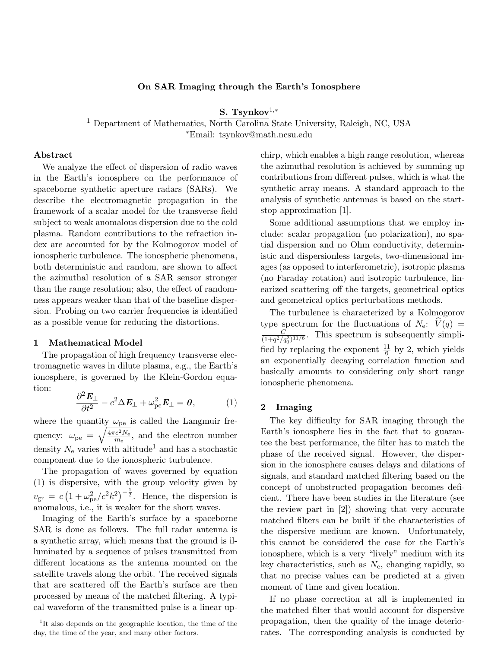### On SAR Imaging through the Earth's Ionosphere

S. Tsynkov<sup>1,\*</sup>

<sup>1</sup> Department of Mathematics, North Carolina State University, Raleigh, NC, USA <sup>∗</sup>Email: tsynkov@math.ncsu.edu

### Abstract

We analyze the effect of dispersion of radio waves in the Earth's ionosphere on the performance of spaceborne synthetic aperture radars (SARs). We describe the electromagnetic propagation in the framework of a scalar model for the transverse field subject to weak anomalous dispersion due to the cold plasma. Random contributions to the refraction index are accounted for by the Kolmogorov model of ionospheric turbulence. The ionospheric phenomena, both deterministic and random, are shown to affect the azimuthal resolution of a SAR sensor stronger than the range resolution; also, the effect of randomness appears weaker than that of the baseline dispersion. Probing on two carrier frequencies is identified as a possible venue for reducing the distortions.

#### 1 Mathematical Model

The propagation of high frequency transverse electromagnetic waves in dilute plasma, e.g., the Earth's ionosphere, is governed by the Klein-Gordon equation:

$$
\frac{\partial^2 \boldsymbol{E}_{\perp}}{\partial t^2} - c^2 \Delta \boldsymbol{E}_{\perp} + \omega_{\rm pe}^2 \boldsymbol{E}_{\perp} = \boldsymbol{0},\tag{1}
$$

where the quantity  $\omega_{pe}$  is called the Langmuir frequency:  $\omega_{\rm pe} = \sqrt{\frac{4\pi e^2 N_{\rm e}}{m_{\rm e}}}$  $\frac{e^2 N_e}{m_e}$ , and the electron number density  $N_e$  varies with altitude<sup>1</sup> and has a stochastic component due to the ionospheric turbulence.

The propagation of waves governed by equation (1) is dispersive, with the group velocity given by  $v_{\rm gr} = c \left(1 + \omega_{\rm pe}^2/c^2 k^2\right)^{-\frac{1}{2}}$ . Hence, the dispersion is anomalous, i.e., it is weaker for the short waves.

Imaging of the Earth's surface by a spaceborne SAR is done as follows. The full radar antenna is a synthetic array, which means that the ground is illuminated by a sequence of pulses transmitted from different locations as the antenna mounted on the satellite travels along the orbit. The received signals that are scattered off the Earth's surface are then processed by means of the matched filtering. A typical waveform of the transmitted pulse is a linear upchirp, which enables a high range resolution, whereas the azimuthal resolution is achieved by summing up contributions from different pulses, which is what the synthetic array means. A standard approach to the analysis of synthetic antennas is based on the startstop approximation [1].

Some additional assumptions that we employ include: scalar propagation (no polarization), no spatial dispersion and no Ohm conductivity, deterministic and dispersionless targets, two-dimensional images (as opposed to interferometric), isotropic plasma (no Faraday rotation) and isotropic turbulence, linearized scattering off the targets, geometrical optics and geometrical optics perturbations methods.

The turbulence is characterized by a Kolmogorov type spectrum for the fluctuations of  $N_e$ :  $\hat{V}(q)$  =  $\mathcal{C}_{0}^{(n)}$  $\frac{C}{(1+q^2/q_0^2)^{11/6}}$ . This spectrum is subsequently simplified by replacing the exponent  $\frac{11}{6}$  by 2, which yields an exponentially decaying correlation function and basically amounts to considering only short range ionospheric phenomena.

#### 2 Imaging

The key difficulty for SAR imaging through the Earth's ionosphere lies in the fact that to guarantee the best performance, the filter has to match the phase of the received signal. However, the dispersion in the ionosphere causes delays and dilations of signals, and standard matched filtering based on the concept of unobstructed propagation becomes deficient. There have been studies in the literature (see the review part in [2]) showing that very accurate matched filters can be built if the characteristics of the dispersive medium are known. Unfortunately, this cannot be considered the case for the Earth's ionosphere, which is a very "lively" medium with its key characteristics, such as  $N_e$ , changing rapidly, so that no precise values can be predicted at a given moment of time and given location.

If no phase correction at all is implemented in the matched filter that would account for dispersive propagation, then the quality of the image deteriorates. The corresponding analysis is conducted by

<sup>&</sup>lt;sup>1</sup>It also depends on the geographic location, the time of the day, the time of the year, and many other factors.